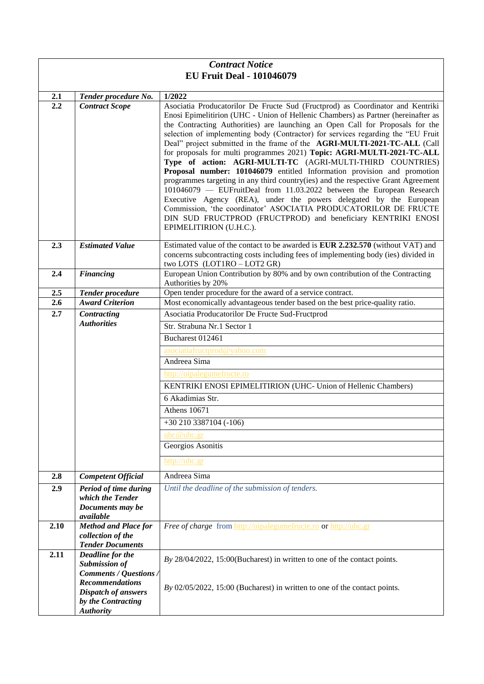| <b>Contract Notice</b>           |                                           |                                                                                                                                                                                                                                                                                                                                                                                                                                                                                                                                                                                                                                                                                                                                                                                                                                                                                                                                                                                                                                            |  |
|----------------------------------|-------------------------------------------|--------------------------------------------------------------------------------------------------------------------------------------------------------------------------------------------------------------------------------------------------------------------------------------------------------------------------------------------------------------------------------------------------------------------------------------------------------------------------------------------------------------------------------------------------------------------------------------------------------------------------------------------------------------------------------------------------------------------------------------------------------------------------------------------------------------------------------------------------------------------------------------------------------------------------------------------------------------------------------------------------------------------------------------------|--|
| <b>EU Fruit Deal - 101046079</b> |                                           |                                                                                                                                                                                                                                                                                                                                                                                                                                                                                                                                                                                                                                                                                                                                                                                                                                                                                                                                                                                                                                            |  |
| 2.1                              | Tender procedure No.                      | 1/2022                                                                                                                                                                                                                                                                                                                                                                                                                                                                                                                                                                                                                                                                                                                                                                                                                                                                                                                                                                                                                                     |  |
| 2.2                              | <b>Contract Scope</b>                     | Asociatia Producatorilor De Fructe Sud (Fructprod) as Coordinator and Kentriki<br>Enosi Epimelitirion (UHC - Union of Hellenic Chambers) as Partner (hereinafter as<br>the Contracting Authorities) are launching an Open Call for Proposals for the<br>selection of implementing body (Contractor) for services regarding the "EU Fruit<br>Deal" project submitted in the frame of the AGRI-MULTI-2021-TC-ALL (Call<br>for proposals for multi programmes 2021) Topic: AGRI-MULTI-2021-TC-ALL<br>Type of action: AGRI-MULTI-TC (AGRI-MULTI-THIRD COUNTRIES)<br>Proposal number: 101046079 entitled Information provision and promotion<br>programmes targeting in any third country(ies) and the respective Grant Agreement<br>101046079 - EUFruitDeal from 11.03.2022 between the European Research<br>Executive Agency (REA), under the powers delegated by the European<br>Commission, 'the coordinator' ASOCIATIA PRODUCATORILOR DE FRUCTE<br>DIN SUD FRUCTPROD (FRUCTPROD) and beneficiary KENTRIKI ENOSI<br>EPIMELITIRION (U.H.C.). |  |
| 2.3                              | <b>Estimated Value</b>                    | Estimated value of the contact to be awarded is <b>EUR 2.232.570</b> (without VAT) and<br>concerns subcontracting costs including fees of implementing body (ies) divided in<br>two LOTS (LOT1RO - LOT2 GR)                                                                                                                                                                                                                                                                                                                                                                                                                                                                                                                                                                                                                                                                                                                                                                                                                                |  |
| 2.4                              | <b>Financing</b>                          | European Union Contribution by 80% and by own contribution of the Contracting<br>Authorities by 20%                                                                                                                                                                                                                                                                                                                                                                                                                                                                                                                                                                                                                                                                                                                                                                                                                                                                                                                                        |  |
| 2.5                              | <b>Tender procedure</b>                   | Open tender procedure for the award of a service contract.                                                                                                                                                                                                                                                                                                                                                                                                                                                                                                                                                                                                                                                                                                                                                                                                                                                                                                                                                                                 |  |
| 2.6                              | <b>Award Criterion</b>                    | Most economically advantageous tender based on the best price-quality ratio.                                                                                                                                                                                                                                                                                                                                                                                                                                                                                                                                                                                                                                                                                                                                                                                                                                                                                                                                                               |  |
| 2.7                              | Contracting<br><b>Authorities</b>         | Asociatia Producatorilor De Fructe Sud-Fructprod                                                                                                                                                                                                                                                                                                                                                                                                                                                                                                                                                                                                                                                                                                                                                                                                                                                                                                                                                                                           |  |
|                                  |                                           | Str. Strabuna Nr.1 Sector 1                                                                                                                                                                                                                                                                                                                                                                                                                                                                                                                                                                                                                                                                                                                                                                                                                                                                                                                                                                                                                |  |
|                                  |                                           | Bucharest 012461                                                                                                                                                                                                                                                                                                                                                                                                                                                                                                                                                                                                                                                                                                                                                                                                                                                                                                                                                                                                                           |  |
|                                  |                                           | asociatiafructprod@yahoo.com<br>Andreea Sima                                                                                                                                                                                                                                                                                                                                                                                                                                                                                                                                                                                                                                                                                                                                                                                                                                                                                                                                                                                               |  |
|                                  |                                           | http://oipalegumefructe.ro                                                                                                                                                                                                                                                                                                                                                                                                                                                                                                                                                                                                                                                                                                                                                                                                                                                                                                                                                                                                                 |  |
|                                  |                                           | KENTRIKI ENOSI EPIMELITIRION (UHC- Union of Hellenic Chambers)                                                                                                                                                                                                                                                                                                                                                                                                                                                                                                                                                                                                                                                                                                                                                                                                                                                                                                                                                                             |  |
|                                  |                                           | 6 Akadimias Str.                                                                                                                                                                                                                                                                                                                                                                                                                                                                                                                                                                                                                                                                                                                                                                                                                                                                                                                                                                                                                           |  |
|                                  |                                           | <b>Athens 10671</b>                                                                                                                                                                                                                                                                                                                                                                                                                                                                                                                                                                                                                                                                                                                                                                                                                                                                                                                                                                                                                        |  |
|                                  |                                           | $+30\,210\,3387104$ (-106)                                                                                                                                                                                                                                                                                                                                                                                                                                                                                                                                                                                                                                                                                                                                                                                                                                                                                                                                                                                                                 |  |
|                                  |                                           | $u$ hc $@$ uhc.gr                                                                                                                                                                                                                                                                                                                                                                                                                                                                                                                                                                                                                                                                                                                                                                                                                                                                                                                                                                                                                          |  |
|                                  |                                           | Georgios Asonitis                                                                                                                                                                                                                                                                                                                                                                                                                                                                                                                                                                                                                                                                                                                                                                                                                                                                                                                                                                                                                          |  |
|                                  |                                           | http://uhc.gr                                                                                                                                                                                                                                                                                                                                                                                                                                                                                                                                                                                                                                                                                                                                                                                                                                                                                                                                                                                                                              |  |
| 2.8                              | <b>Competent Official</b>                 | Andreea Sima                                                                                                                                                                                                                                                                                                                                                                                                                                                                                                                                                                                                                                                                                                                                                                                                                                                                                                                                                                                                                               |  |
| 2.9                              | Period of time during                     | Until the deadline of the submission of tenders.                                                                                                                                                                                                                                                                                                                                                                                                                                                                                                                                                                                                                                                                                                                                                                                                                                                                                                                                                                                           |  |
|                                  | which the Tender                          |                                                                                                                                                                                                                                                                                                                                                                                                                                                                                                                                                                                                                                                                                                                                                                                                                                                                                                                                                                                                                                            |  |
|                                  | Documents may be<br>available             |                                                                                                                                                                                                                                                                                                                                                                                                                                                                                                                                                                                                                                                                                                                                                                                                                                                                                                                                                                                                                                            |  |
| 2.10                             | <b>Method and Place for</b>               | Free of charge from http://oipalegumefructe.ro or http://uhc.gr                                                                                                                                                                                                                                                                                                                                                                                                                                                                                                                                                                                                                                                                                                                                                                                                                                                                                                                                                                            |  |
|                                  | collection of the                         |                                                                                                                                                                                                                                                                                                                                                                                                                                                                                                                                                                                                                                                                                                                                                                                                                                                                                                                                                                                                                                            |  |
|                                  | <b>Tender Documents</b>                   |                                                                                                                                                                                                                                                                                                                                                                                                                                                                                                                                                                                                                                                                                                                                                                                                                                                                                                                                                                                                                                            |  |
| 2.11                             | Deadline for the<br><b>Submission of</b>  | By 28/04/2022, 15:00(Bucharest) in written to one of the contact points.                                                                                                                                                                                                                                                                                                                                                                                                                                                                                                                                                                                                                                                                                                                                                                                                                                                                                                                                                                   |  |
|                                  | Comments / Questions /                    |                                                                                                                                                                                                                                                                                                                                                                                                                                                                                                                                                                                                                                                                                                                                                                                                                                                                                                                                                                                                                                            |  |
|                                  | <b>Recommendations</b>                    | By $02/05/2022$ , 15:00 (Bucharest) in written to one of the contact points.                                                                                                                                                                                                                                                                                                                                                                                                                                                                                                                                                                                                                                                                                                                                                                                                                                                                                                                                                               |  |
|                                  | Dispatch of answers<br>by the Contracting |                                                                                                                                                                                                                                                                                                                                                                                                                                                                                                                                                                                                                                                                                                                                                                                                                                                                                                                                                                                                                                            |  |
|                                  | <b>Authority</b>                          |                                                                                                                                                                                                                                                                                                                                                                                                                                                                                                                                                                                                                                                                                                                                                                                                                                                                                                                                                                                                                                            |  |